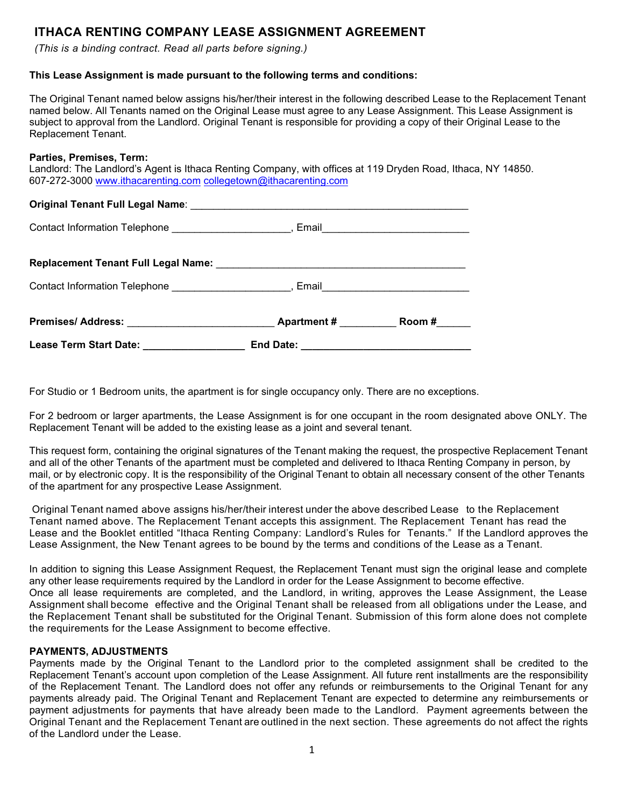# **ITHACA RENTING COMPANY LEASE ASSIGNMENT AGREEMENT**

*(This is a binding contract. Read all parts before signing.)*

## **This Lease Assignment is made pursuant to the following terms and conditions:**

The Original Tenant named below assigns his/her/their interest in the following described Lease to the Replacement Tenant named below. All Tenants named on the Original Lease must agree to any Lease Assignment. This Lease Assignment is subject to approval from the Landlord. Original Tenant is responsible for providing a copy of their Original Lease to the Replacement Tenant.

#### **Parties, Premises, Term:**

Landlord: The Landlord's Agent is Ithaca Renting Company, with offices at 119 Dryden Road, Ithaca, NY 14850. 607-272-3000 [www.ithacarenting.com](http://www.ithacarenting.com/) [collegetown@ithacarenting.com](mailto:collegetown@ithacarenting.com)

## **Original Tenant Full Legal Name**: \_\_\_\_\_\_\_\_\_\_\_\_\_\_\_\_\_\_\_\_\_\_\_\_\_\_\_\_\_\_\_\_\_\_\_\_\_\_\_\_\_\_\_\_\_\_\_\_\_

Contact Information Telephone \_\_\_\_\_\_\_\_\_\_\_\_\_\_\_\_\_\_\_\_\_\_, Email\_\_\_\_\_\_\_\_\_\_\_\_\_\_\_\_\_\_\_\_\_

| Contact Information Telephone ________________________                                                                                                                                                                              |                   | Email ________________________________ |
|-------------------------------------------------------------------------------------------------------------------------------------------------------------------------------------------------------------------------------------|-------------------|----------------------------------------|
| <b>Premises/ Address:</b> The contract of the contract of the contract of the contract of the contract of the contract of the contract of the contract of the contract of the contract of the contract of the contract of the contr | <b>Apartment#</b> | Room #                                 |
| <b>Lease Term Start Date:</b>                                                                                                                                                                                                       | End Date:         |                                        |

For Studio or 1 Bedroom units, the apartment is for single occupancy only. There are no exceptions.

For 2 bedroom or larger apartments, the Lease Assignment is for one occupant in the room designated above ONLY. The Replacement Tenant will be added to the existing lease as a joint and several tenant.

This request form, containing the original signatures of the Tenant making the request, the prospective Replacement Tenant and all of the other Tenants of the apartment must be completed and delivered to Ithaca Renting Company in person, by mail, or by electronic copy. It is the responsibility of the Original Tenant to obtain all necessary consent of the other Tenants of the apartment for any prospective Lease Assignment.

Original Tenant named above assigns his/her/their interest under the above described Lease to the Replacement Tenant named above. The Replacement Tenant accepts this assignment. The Replacement Tenant has read the Lease and the Booklet entitled "Ithaca Renting Company: Landlord's Rules for Tenants." If the Landlord approves the Lease Assignment, the New Tenant agrees to be bound by the terms and conditions of the Lease as a Tenant.

In addition to signing this Lease Assignment Request, the Replacement Tenant must sign the original lease and complete any other lease requirements required by the Landlord in order for the Lease Assignment to become effective. Once all lease requirements are completed, and the Landlord, in writing, approves the Lease Assignment, the Lease Assignment shall become effective and the Original Tenant shall be released from all obligations under the Lease, and the Replacement Tenant shall be substituted for the Original Tenant. Submission of this form alone does not complete

## **PAYMENTS, ADJUSTMENTS**

the requirements for the Lease Assignment to become effective.

Payments made by the Original Tenant to the Landlord prior to the completed assignment shall be credited to the Replacement Tenant's account upon completion of the Lease Assignment. All future rent installments are the responsibility of the Replacement Tenant. The Landlord does not offer any refunds or reimbursements to the Original Tenant for any payments already paid. The Original Tenant and Replacement Tenant are expected to determine any reimbursements or payment adjustments for payments that have already been made to the Landlord. Payment agreements between the Original Tenant and the Replacement Tenant are outlined in the next section. These agreements do not affect the rights of the Landlord under the Lease.